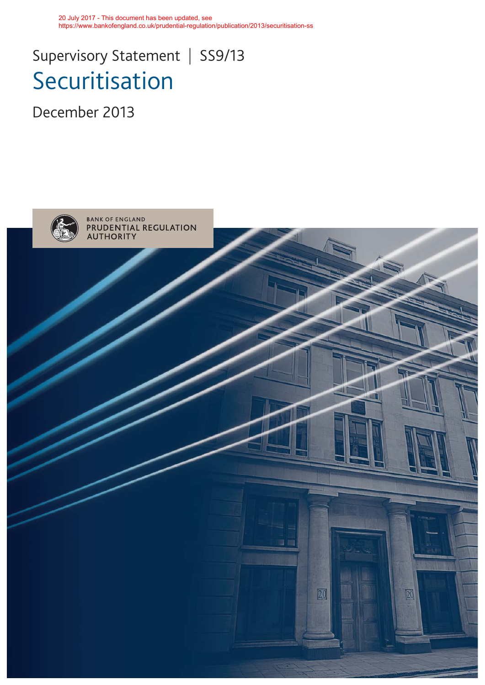20 July 2017 - This document has been updated, see https://www.bankofengland.co.uk/prudential-regulation/publication/2013/securitisation-ss

# Supervisory Statement | SS9/13 Securitisation

December 2013

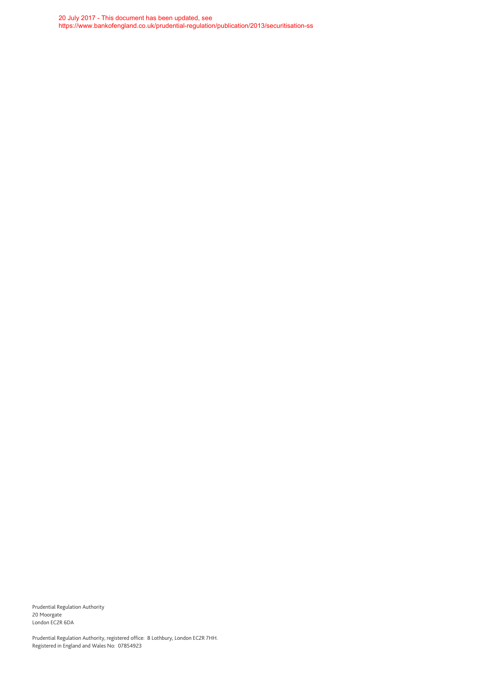20 July 2017 - This document has been updated, see https://www.bankofengland.co.uk/prudential-regulation/publication/2013/securitisation-ss

Prudential Regulation Authority 20 Moorgate London EC2R 6DA

Prudential Regulation Authority, registered office: 8 Lothbury, London EC2R 7HH. Registered in England and Wales No: 07854923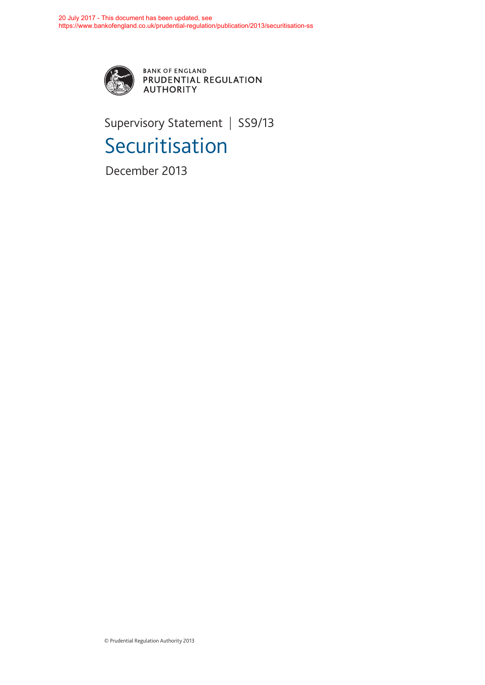

BANK OF ENGLAND<br>PRUDENTIAL REGULATION **AUTHORITY** 

Supervisory Statement | SS9/13 Securitisation

December 2013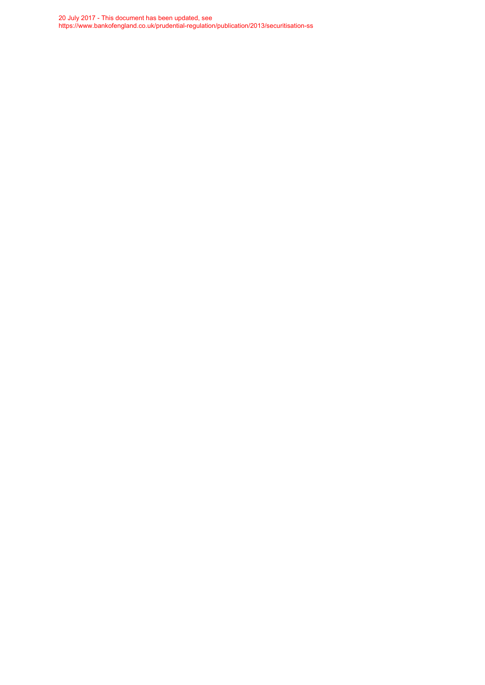20 July 2017 - This document has been updated, see https://www.bankofengland.co.uk/prudential-regulation/publication/2013/securitisation-ss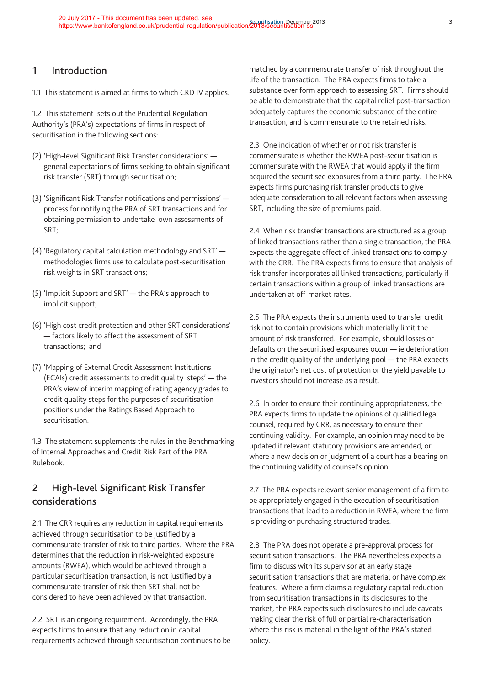# **1 Introduction**

1.1 This statement is aimed at firms to which CRD IV applies.

1.2 This statement sets out the Prudential Regulation Authority's (PRA's) expectations of firms in respect of securitisation in the following sections:

- (2) 'High-level Significant Risk Transfer considerations' general expectations of firms seeking to obtain significant risk transfer (SRT) through securitisation;
- (3) 'Significant Risk Transfer notifications and permissions' process for notifying the PRA of SRT transactions and for obtaining permission to undertake own assessments of SRT;
- (4) 'Regulatory capital calculation methodology and SRT' methodologies firms use to calculate post-securitisation risk weights in SRT transactions;
- (5) 'Implicit Support and SRT' the PRA's approach to implicit support;
- (6) 'High cost credit protection and other SRT considerations' — factors likely to affect the assessment of SRT transactions; and
- (7) 'Mapping of External Credit Assessment Institutions (ECAIs) credit assessments to credit quality steps' — the PRA's view of interim mapping of rating agency grades to credit quality steps for the purposes of securitisation positions under the Ratings Based Approach to securitisation.

1.3 The statement supplements the rules in the Benchmarking of Internal Approaches and Credit Risk Part of the PRA Rulebook.

# **2 High-level Significant Risk Transfer considerations**

2.1 The CRR requires any reduction in capital requirements achieved through securitisation to be justified by a commensurate transfer of risk to third parties. Where the PRA determines that the reduction in risk-weighted exposure amounts (RWEA), which would be achieved through a particular securitisation transaction, is not justified by a commensurate transfer of risk then SRT shall not be considered to have been achieved by that transaction.

2.2 SRT is an ongoing requirement. Accordingly, the PRA expects firms to ensure that any reduction in capital requirements achieved through securitisation continues to be matched by a commensurate transfer of risk throughout the life of the transaction. The PRA expects firms to take a substance over form approach to assessing SRT. Firms should be able to demonstrate that the capital relief post-transaction adequately captures the economic substance of the entire transaction, and is commensurate to the retained risks.

2.3 One indication of whether or not risk transfer is commensurate is whether the RWEA post-securitisation is commensurate with the RWEA that would apply if the firm acquired the securitised exposures from a third party. The PRA expects firms purchasing risk transfer products to give adequate consideration to all relevant factors when assessing SRT, including the size of premiums paid.

2.4 When risk transfer transactions are structured as a group of linked transactions rather than a single transaction, the PRA expects the aggregate effect of linked transactions to comply with the CRR. The PRA expects firms to ensure that analysis of risk transfer incorporates all linked transactions, particularly if certain transactions within a group of linked transactions are undertaken at off-market rates.

2.5 The PRA expects the instruments used to transfer credit risk not to contain provisions which materially limit the amount of risk transferred. For example, should losses or defaults on the securitised exposures occur — ie deterioration in the credit quality of the underlying pool — the PRA expects the originator's net cost of protection or the yield payable to investors should not increase as a result.

2.6 In order to ensure their continuing appropriateness, the PRA expects firms to update the opinions of qualified legal counsel, required by CRR, as necessary to ensure their continuing validity. For example, an opinion may need to be updated if relevant statutory provisions are amended, or where a new decision or judgment of a court has a bearing on the continuing validity of counsel's opinion.

2.7 The PRA expects relevant senior management of a firm to be appropriately engaged in the execution of securitisation transactions that lead to a reduction in RWEA, where the firm is providing or purchasing structured trades.

2.8 The PRA does not operate a pre-approval process for securitisation transactions. The PRA nevertheless expects a firm to discuss with its supervisor at an early stage securitisation transactions that are material or have complex features. Where a firm claims a regulatory capital reduction from securitisation transactions in its disclosures to the market, the PRA expects such disclosures to include caveats making clear the risk of full or partial re-characterisation where this risk is material in the light of the PRA's stated policy.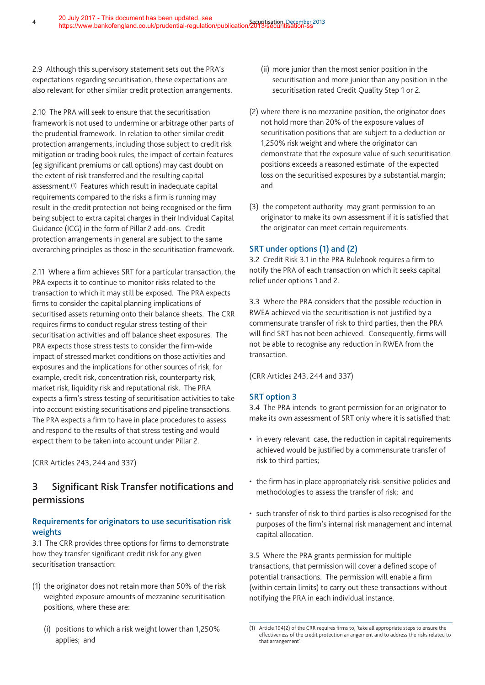2.9 Although this supervisory statement sets out the PRA's expectations regarding securitisation, these expectations are also relevant for other similar credit protection arrangements.

2.10 The PRA will seek to ensure that the securitisation framework is not used to undermine or arbitrage other parts of the prudential framework. In relation to other similar credit protection arrangements, including those subject to credit risk mitigation or trading book rules, the impact of certain features (eg significant premiums or call options) may cast doubt on the extent of risk transferred and the resulting capital assessment.(1) Features which result in inadequate capital requirements compared to the risks a firm is running may result in the credit protection not being recognised or the firm being subject to extra capital charges in their Individual Capital Guidance (ICG) in the form of Pillar 2 add-ons. Credit protection arrangements in general are subject to the same overarching principles as those in the securitisation framework.

2.11 Where a firm achieves SRT for a particular transaction, the PRA expects it to continue to monitor risks related to the transaction to which it may still be exposed. The PRA expects firms to consider the capital planning implications of securitised assets returning onto their balance sheets. The CRR requires firms to conduct regular stress testing of their securitisation activities and off balance sheet exposures. The PRA expects those stress tests to consider the firm-wide impact of stressed market conditions on those activities and exposures and the implications for other sources of risk, for example, credit risk, concentration risk, counterparty risk, market risk, liquidity risk and reputational risk. The PRA expects a firm's stress testing of securitisation activities to take into account existing securitisations and pipeline transactions. The PRA expects a firm to have in place procedures to assess and respond to the results of that stress testing and would expect them to be taken into account under Pillar 2.

(CRR Articles 243, 244 and 337)

# **3 Significant Risk Transfer notifications and permissions**

# **Requirements for originators to use securitisation risk weights**

3.1 The CRR provides three options for firms to demonstrate how they transfer significant credit risk for any given securitisation transaction:

- (1) the originator does not retain more than 50% of the risk weighted exposure amounts of mezzanine securitisation positions, where these are:
	- (i) positions to which a risk weight lower than 1,250% applies; and
- (ii) more junior than the most senior position in the securitisation and more junior than any position in the securitisation rated Credit Quality Step 1 or 2.
- (2) where there is no mezzanine position, the originator does not hold more than 20% of the exposure values of securitisation positions that are subject to a deduction or 1,250% risk weight and where the originator can demonstrate that the exposure value of such securitisation positions exceeds a reasoned estimate of the expected loss on the securitised exposures by a substantial margin; and
- (3) the competent authority may grant permission to an originator to make its own assessment if it is satisfied that the originator can meet certain requirements.

# **SRT under options (1) and (2)**

3.2 Credit Risk 3.1 in the PRA Rulebook requires a firm to notify the PRA of each transaction on which it seeks capital relief under options 1 and 2.

3.3 Where the PRA considers that the possible reduction in RWEA achieved via the securitisation is not justified by a commensurate transfer of risk to third parties, then the PRA will find SRT has not been achieved. Consequently, firms will not be able to recognise any reduction in RWEA from the transaction.

(CRR Articles 243, 244 and 337)

## **SRT option 3**

3.4 The PRA intends to grant permission for an originator to make its own assessment of SRT only where it is satisfied that:

- in every relevant case, the reduction in capital requirements achieved would be justified by a commensurate transfer of risk to third parties;
- the firm has in place appropriately risk-sensitive policies and methodologies to assess the transfer of risk; and
- such transfer of risk to third parties is also recognised for the purposes of the firm's internal risk management and internal capital allocation.

3.5 Where the PRA grants permission for multiple transactions, that permission will cover a defined scope of potential transactions. The permission will enable a firm (within certain limits) to carry out these transactions without notifying the PRA in each individual instance.

<sup>(1)</sup> Article 194(2) of the CRR requires firms to, 'take all appropriate steps to ensure the effectiveness of the credit protection arrangement and to address the risks related to that arrangement'.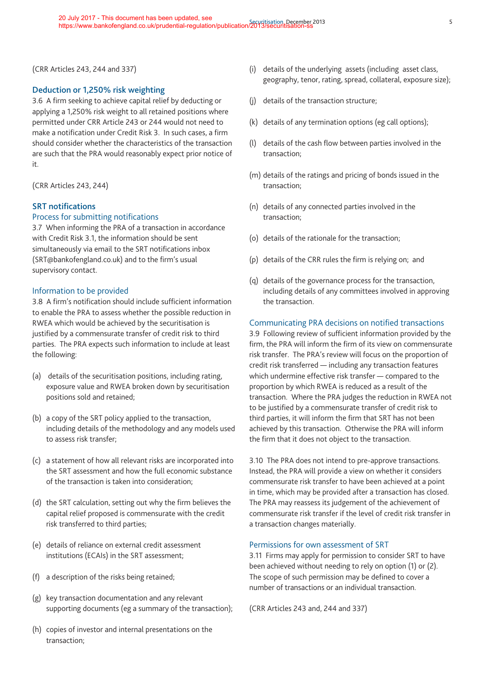(CRR Articles 243, 244 and 337)

## **Deduction or 1,250% risk weighting**

3.6 A firm seeking to achieve capital relief by deducting or applying a 1,250% risk weight to all retained positions where permitted under CRR Article 243 or 244 would not need to make a notification under Credit Risk 3. In such cases, a firm should consider whether the characteristics of the transaction are such that the PRA would reasonably expect prior notice of it.

(CRR Articles 243, 244)

## **SRT notifications**

## Process for submitting notifications

3.7 When informing the PRA of a transaction in accordance with Credit Risk 3.1, the information should be sent simultaneously via email to the SRT notifications inbox (SRT@bankofengland.co.uk) and to the firm's usual supervisory contact.

## Information to be provided

3.8 A firm's notification should include sufficient information to enable the PRA to assess whether the possible reduction in RWEA which would be achieved by the securitisation is justified by a commensurate transfer of credit risk to third parties. The PRA expects such information to include at least the following:

- (a) details of the securitisation positions, including rating, exposure value and RWEA broken down by securitisation positions sold and retained;
- (b) a copy of the SRT policy applied to the transaction, including details of the methodology and any models used to assess risk transfer;
- (c) a statement of how all relevant risks are incorporated into the SRT assessment and how the full economic substance of the transaction is taken into consideration;
- (d) the SRT calculation, setting out why the firm believes the capital relief proposed is commensurate with the credit risk transferred to third parties;
- (e) details of reliance on external credit assessment institutions (ECAIs) in the SRT assessment;
- (f) a description of the risks being retained;
- (g) key transaction documentation and any relevant supporting documents (eg a summary of the transaction);
- (h) copies of investor and internal presentations on the transaction;
- (i) details of the underlying assets (including asset class, geography, tenor, rating, spread, collateral, exposure size);
- (j) details of the transaction structure;
- (k) details of any termination options (eg call options);
- (l) details of the cash flow between parties involved in the transaction;
- (m) details of the ratings and pricing of bonds issued in the transaction;
- (n) details of any connected parties involved in the transaction;
- (o) details of the rationale for the transaction;
- (p) details of the CRR rules the firm is relying on; and
- (q) details of the governance process for the transaction, including details of any committees involved in approving the transaction.

## Communicating PRA decisions on notified transactions

3.9 Following review of sufficient information provided by the firm, the PRA will inform the firm of its view on commensurate risk transfer. The PRA's review will focus on the proportion of credit risk transferred — including any transaction features which undermine effective risk transfer — compared to the proportion by which RWEA is reduced as a result of the transaction. Where the PRA judges the reduction in RWEA not to be justified by a commensurate transfer of credit risk to third parties, it will inform the firm that SRT has not been achieved by this transaction. Otherwise the PRA will inform the firm that it does not object to the transaction.

3.10 The PRA does not intend to pre-approve transactions. Instead, the PRA will provide a view on whether it considers commensurate risk transfer to have been achieved at a point in time, which may be provided after a transaction has closed. The PRA may reassess its judgement of the achievement of commensurate risk transfer if the level of credit risk transfer in a transaction changes materially.

#### Permissions for own assessment of SRT

3.11 Firms may apply for permission to consider SRT to have been achieved without needing to rely on option (1) or (2). The scope of such permission may be defined to cover a number of transactions or an individual transaction.

(CRR Articles 243 and, 244 and 337)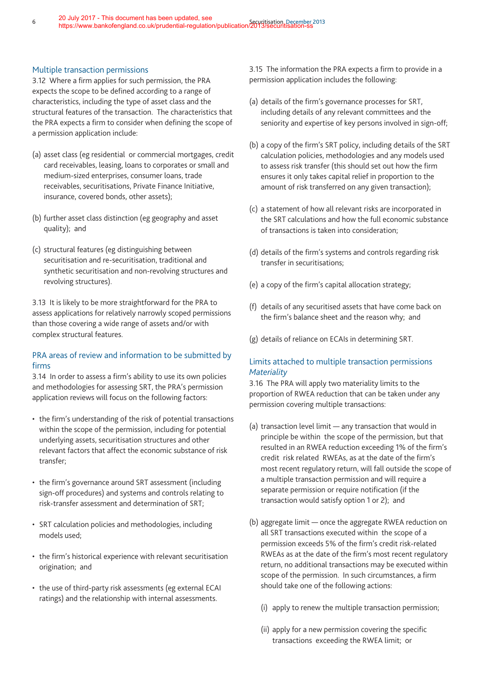## Multiple transaction permissions

3.12 Where a firm applies for such permission, the PRA expects the scope to be defined according to a range of characteristics, including the type of asset class and the structural features of the transaction. The characteristics that the PRA expects a firm to consider when defining the scope of a permission application include:

- (a) asset class (eg residential or commercial mortgages, credit card receivables, leasing, loans to corporates or small and medium-sized enterprises, consumer loans, trade receivables, securitisations, Private Finance Initiative, insurance, covered bonds, other assets);
- (b) further asset class distinction (eg geography and asset quality); and
- (c) structural features (eg distinguishing between securitisation and re-securitisation, traditional and synthetic securitisation and non-revolving structures and revolving structures).

3.13 It is likely to be more straightforward for the PRA to assess applications for relatively narrowly scoped permissions than those covering a wide range of assets and/or with complex structural features.

# PRA areas of review and information to be submitted by firms

3.14 In order to assess a firm's ability to use its own policies and methodologies for assessing SRT, the PRA's permission application reviews will focus on the following factors:

- the firm's understanding of the risk of potential transactions within the scope of the permission, including for potential underlying assets, securitisation structures and other relevant factors that affect the economic substance of risk transfer;
- the firm's governance around SRT assessment (including sign-off procedures) and systems and controls relating to risk-transfer assessment and determination of SRT;
- SRT calculation policies and methodologies, including models used;
- the firm's historical experience with relevant securitisation origination; and
- the use of third-party risk assessments (eg external ECAI ratings) and the relationship with internal assessments.

3.15 The information the PRA expects a firm to provide in a permission application includes the following:

- (a) details of the firm's governance processes for SRT, including details of any relevant committees and the seniority and expertise of key persons involved in sign-off;
- (b) a copy of the firm's SRT policy, including details of the SRT calculation policies, methodologies and any models used to assess risk transfer (this should set out how the firm ensures it only takes capital relief in proportion to the amount of risk transferred on any given transaction);
- (c) a statement of how all relevant risks are incorporated in the SRT calculations and how the full economic substance of transactions is taken into consideration;
- (d) details of the firm's systems and controls regarding risk transfer in securitisations;
- (e) a copy of the firm's capital allocation strategy;
- (f) details of any securitised assets that have come back on the firm's balance sheet and the reason why; and
- (g) details of reliance on ECAIs in determining SRT.

# Limits attached to multiple transaction permissions *Materiality*

3.16 The PRA will apply two materiality limits to the proportion of RWEA reduction that can be taken under any permission covering multiple transactions:

- (a) transaction level limit any transaction that would in principle be within the scope of the permission, but that resulted in an RWEA reduction exceeding 1% of the firm's credit risk related RWEAs, as at the date of the firm's most recent regulatory return, will fall outside the scope of a multiple transaction permission and will require a separate permission or require notification (if the transaction would satisfy option 1 or 2); and
- (b) aggregate limit once the aggregate RWEA reduction on all SRT transactions executed within the scope of a permission exceeds 5% of the firm's credit risk-related RWEAs as at the date of the firm's most recent regulatory return, no additional transactions may be executed within scope of the permission. In such circumstances, a firm should take one of the following actions:
	- (i) apply to renew the multiple transaction permission;
	- (ii) apply for a new permission covering the specific transactions exceeding the RWEA limit; or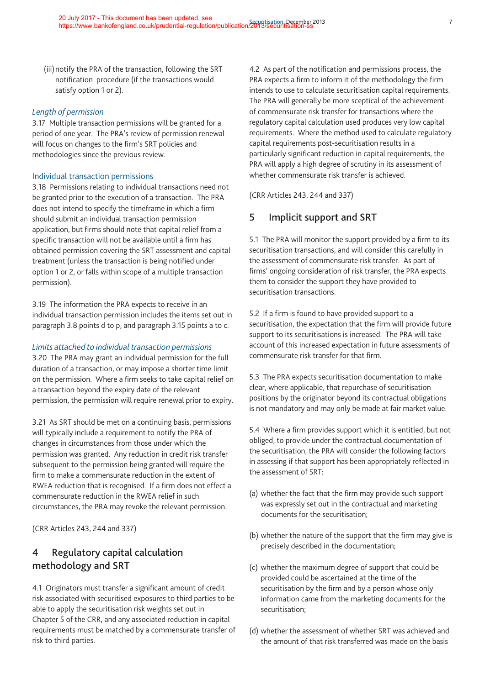(iii) notify the PRA of the transaction, following the SRT notification procedure (if the transactions would satisfy option 1 or 2).

#### *Length of permission*

3.17 Multiple transaction permissions will be granted for a period of one year. The PRA's review of permission renewal will focus on changes to the firm's SRT policies and methodologies since the previous review.

#### Individual transaction permissions

3.18 Permissions relating to individual transactions need not be granted prior to the execution of a transaction. The PRA does not intend to specify the timeframe in which a firm should submit an individual transaction permission application, but firms should note that capital relief from a specific transaction will not be available until a firm has obtained permission covering the SRT assessment and capital treatment (unless the transaction is being notified under option 1 or 2, or falls within scope of a multiple transaction permission).

3.19 The information the PRA expects to receive in an individual transaction permission includes the items set out in paragraph 3.8 points d to p, and paragraph 3.15 points a to c.

#### *Limits attached to individual transaction permissions*

3.20 The PRA may grant an individual permission for the full duration of a transaction, or may impose a shorter time limit on the permission. Where a firm seeks to take capital relief on a transaction beyond the expiry date of the relevant permission, the permission will require renewal prior to expiry.

3.21 As SRT should be met on a continuing basis, permissions will typically include a requirement to notify the PRA of changes in circumstances from those under which the permission was granted. Any reduction in credit risk transfer subsequent to the permission being granted will require the firm to make a commensurate reduction in the extent of RWEA reduction that is recognised. If a firm does not effect a commensurate reduction in the RWEA relief in such circumstances, the PRA may revoke the relevant permission.

(CRR Articles 243, 244 and 337)

# **4 Regulatory capital calculation methodology and SRT**

4.1 Originators must transfer a significant amount of credit risk associated with securitised exposures to third parties to be able to apply the securitisation risk weights set out in Chapter 5 of the CRR, and any associated reduction in capital requirements must be matched by a commensurate transfer of risk to third parties.

4.2 As part of the notification and permissions process, the PRA expects a firm to inform it of the methodology the firm intends to use to calculate securitisation capital requirements. The PRA will generally be more sceptical of the achievement of commensurate risk transfer for transactions where the regulatory capital calculation used produces very low capital requirements. Where the method used to calculate regulatory capital requirements post-securitisation results in a particularly significant reduction in capital requirements, the PRA will apply a high degree of scrutiny in its assessment of whether commensurate risk transfer is achieved.

(CRR Articles 243, 244 and 337)

# **5 Implicit support and SRT**

5.1 The PRA will monitor the support provided by a firm to its securitisation transactions, and will consider this carefully in the assessment of commensurate risk transfer. As part of firms' ongoing consideration of risk transfer, the PRA expects them to consider the support they have provided to securitisation transactions.

5.2 If a firm is found to have provided support to a securitisation, the expectation that the firm will provide future support to its securitisations is increased. The PRA will take account of this increased expectation in future assessments of commensurate risk transfer for that firm.

5.3 The PRA expects securitisation documentation to make clear, where applicable, that repurchase of securitisation positions by the originator beyond its contractual obligations is not mandatory and may only be made at fair market value.

5.4 Where a firm provides support which it is entitled, but not obliged, to provide under the contractual documentation of the securitisation, the PRA will consider the following factors in assessing if that support has been appropriately reflected in the assessment of SRT:

- (a) whether the fact that the firm may provide such support was expressly set out in the contractual and marketing documents for the securitisation;
- (b) whether the nature of the support that the firm may give is precisely described in the documentation;
- (c) whether the maximum degree of support that could be provided could be ascertained at the time of the securitisation by the firm and by a person whose only information came from the marketing documents for the securitisation;
- (d) whether the assessment of whether SRT was achieved and the amount of that risk transferred was made on the basis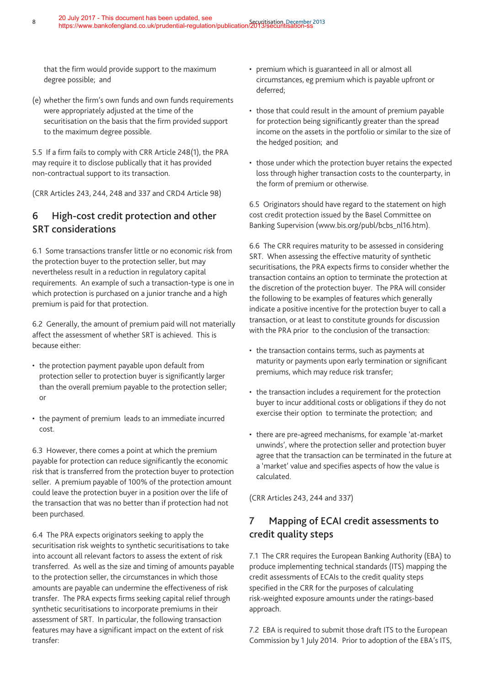that the firm would provide support to the maximum degree possible; and

(e) whether the firm's own funds and own funds requirements were appropriately adjusted at the time of the securitisation on the basis that the firm provided support to the maximum degree possible.

5.5 If a firm fails to comply with CRR Article 248(1), the PRA may require it to disclose publically that it has provided non-contractual support to its transaction.

(CRR Articles 243, 244, 248 and 337 and CRD4 Article 98)

# **6 High-cost credit protection and other SRT considerations**

6.1 Some transactions transfer little or no economic risk from the protection buyer to the protection seller, but may nevertheless result in a reduction in regulatory capital requirements. An example of such a transaction-type is one in which protection is purchased on a junior tranche and a high premium is paid for that protection.

6.2 Generally, the amount of premium paid will not materially affect the assessment of whether SRT is achieved. This is because either:

- the protection payment payable upon default from protection seller to protection buyer is significantly larger than the overall premium payable to the protection seller; or
- the payment of premium leads to an immediate incurred cost.

6.3 However, there comes a point at which the premium payable for protection can reduce significantly the economic risk that is transferred from the protection buyer to protection seller. A premium payable of 100% of the protection amount could leave the protection buyer in a position over the life of the transaction that was no better than if protection had not been purchased.

6.4 The PRA expects originators seeking to apply the securitisation risk weights to synthetic securitisations to take into account all relevant factors to assess the extent of risk transferred. As well as the size and timing of amounts payable to the protection seller, the circumstances in which those amounts are payable can undermine the effectiveness of risk transfer. The PRA expects firms seeking capital relief through synthetic securitisations to incorporate premiums in their assessment of SRT. In particular, the following transaction features may have a significant impact on the extent of risk transfer:

- premium which is guaranteed in all or almost all circumstances, eg premium which is payable upfront or deferred;
- those that could result in the amount of premium payable for protection being significantly greater than the spread income on the assets in the portfolio or similar to the size of the hedged position; and
- those under which the protection buyer retains the expected loss through higher transaction costs to the counterparty, in the form of premium or otherwise.

6.5 Originators should have regard to the statement on high cost credit protection issued by the Basel Committee on Banking Supervision (www.bis.org/publ/bcbs\_nl16.htm).

6.6 The CRR requires maturity to be assessed in considering SRT. When assessing the effective maturity of synthetic securitisations, the PRA expects firms to consider whether the transaction contains an option to terminate the protection at the discretion of the protection buyer. The PRA will consider the following to be examples of features which generally indicate a positive incentive for the protection buyer to call a transaction, or at least to constitute grounds for discussion with the PRA prior to the conclusion of the transaction:

- the transaction contains terms, such as payments at maturity or payments upon early termination or significant premiums, which may reduce risk transfer;
- the transaction includes a requirement for the protection buyer to incur additional costs or obligations if they do not exercise their option to terminate the protection; and
- there are pre-agreed mechanisms, for example 'at-market unwinds', where the protection seller and protection buyer agree that the transaction can be terminated in the future at a 'market' value and specifies aspects of how the value is calculated.

(CRR Articles 243, 244 and 337)

# **7 Mapping of ECAI credit assessments to credit quality steps**

7.1 The CRR requires the European Banking Authority (EBA) to produce implementing technical standards (ITS) mapping the credit assessments of ECAIs to the credit quality steps specified in the CRR for the purposes of calculating risk-weighted exposure amounts under the ratings-based approach.

7.2 EBA is required to submit those draft ITS to the European Commission by 1 July 2014. Prior to adoption of the EBA's ITS,